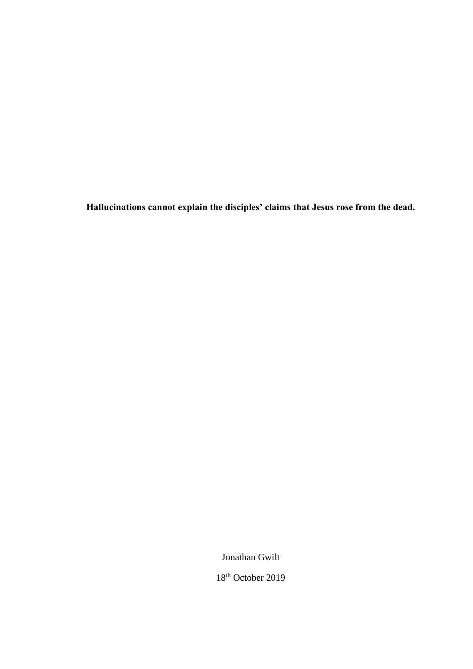**Hallucinations cannot explain the disciples' claims that Jesus rose from the dead.**

Jonathan Gwilt

18th October 2019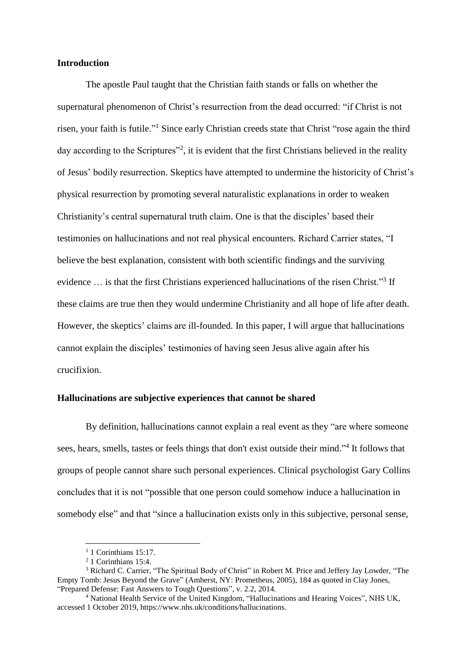### **Introduction**

The apostle Paul taught that the Christian faith stands or falls on whether the supernatural phenomenon of Christ's resurrection from the dead occurred: "if Christ is not risen, your faith is futile."<sup>1</sup> Since early Christian creeds state that Christ "rose again the third day according to the Scriptures"<sup>2</sup>, it is evident that the first Christians believed in the reality of Jesus' bodily resurrection. Skeptics have attempted to undermine the historicity of Christ's physical resurrection by promoting several naturalistic explanations in order to weaken Christianity's central supernatural truth claim. One is that the disciples' based their testimonies on hallucinations and not real physical encounters. Richard Carrier states, "I believe the best explanation, consistent with both scientific findings and the surviving evidence ... is that the first Christians experienced hallucinations of the risen Christ."<sup>3</sup> If these claims are true then they would undermine Christianity and all hope of life after death. However, the skeptics' claims are ill-founded. In this paper, I will argue that hallucinations cannot explain the disciples' testimonies of having seen Jesus alive again after his crucifixion.

# **Hallucinations are subjective experiences that cannot be shared**

By definition, hallucinations cannot explain a real event as they "are where someone sees, hears, smells, tastes or feels things that don't exist outside their mind."<sup>4</sup> It follows that groups of people cannot share such personal experiences. Clinical psychologist Gary Collins concludes that it is not "possible that one person could somehow induce a hallucination in somebody else" and that "since a hallucination exists only in this subjective, personal sense,

 $1$  1 Corinthians 15:17.

<sup>2</sup> 1 Corinthians 15:4.

<sup>&</sup>lt;sup>3</sup> Richard C. Carrier, "The Spiritual Body of Christ" in Robert M. Price and Jeffery Jay Lowder, "The Empty Tomb: Jesus Beyond the Grave" (Amherst, NY: Prometheus, 2005), 184 as quoted in Clay Jones, "Prepared Defense: Fast Answers to Tough Questions", v. 2.2, 2014.

<sup>4</sup> National Health Service of the United Kingdom, "Hallucinations and Hearing Voices", NHS UK, accessed 1 October 2019[, https://www.nhs.uk/conditions/hallucinations.](https://www.nhs.uk/conditions/hallucinations/)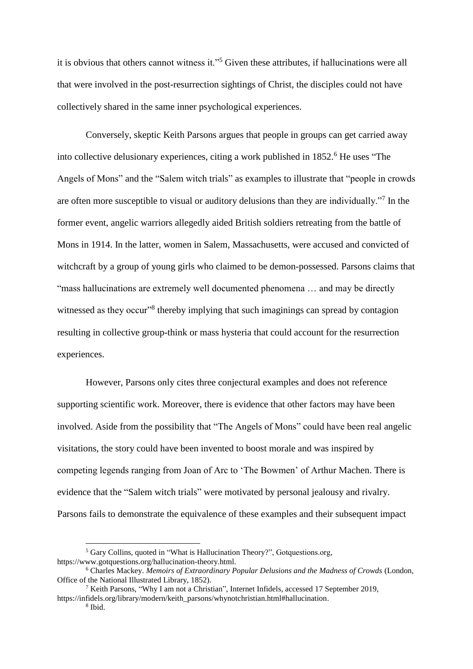it is obvious that others cannot witness it."<sup>5</sup> Given these attributes, if hallucinations were all that were involved in the post-resurrection sightings of Christ, the disciples could not have collectively shared in the same inner psychological experiences.

Conversely, skeptic Keith Parsons argues that people in groups can get carried away into collective delusionary experiences, citing a work published in 1852.<sup>6</sup> He uses "The Angels of Mons" and the "Salem witch trials" as examples to illustrate that "people in crowds are often more susceptible to visual or auditory delusions than they are individually."<sup>7</sup> In the former event, angelic warriors allegedly aided British soldiers retreating from the battle of Mons in 1914. In the latter, women in Salem, Massachusetts, were accused and convicted of witchcraft by a group of young girls who claimed to be demon-possessed. Parsons claims that "mass hallucinations are extremely well documented phenomena … and may be directly witnessed as they occur"<sup>8</sup> thereby implying that such imaginings can spread by contagion resulting in collective group-think or mass hysteria that could account for the resurrection experiences.

However, Parsons only cites three conjectural examples and does not reference supporting scientific work. Moreover, there is evidence that other factors may have been involved. Aside from the possibility that "The Angels of Mons" could have been real angelic visitations, the story could have been invented to boost morale and was inspired by competing legends ranging from Joan of Arc to 'The Bowmen' of Arthur Machen. There is evidence that the "Salem witch trials" were motivated by personal jealousy and rivalry. Parsons fails to demonstrate the equivalence of these examples and their subsequent impact

<sup>5</sup> Gary Collins, quoted in "What is Hallucination Theory?", Gotquestions.org, [https://www.gotquestions.org/hallucination-theory.html.](https://www.gotquestions.org/hallucination-theory.html)

<sup>6</sup> Charles Mackey. *Memoirs of Extraordinary Popular Delusions and the Madness of Crowds* (London, Office of the National Illustrated Library, 1852).

<sup>7</sup> Keith Parsons, "Why I am not a Christian", Internet Infidels, accessed 17 September 2019, [https://infidels.org/library/modern/keith\\_parsons/whynotchristian.html#hallucination.](https://infidels.org/library/modern/keith_parsons/whynotchristian.html#hallucination)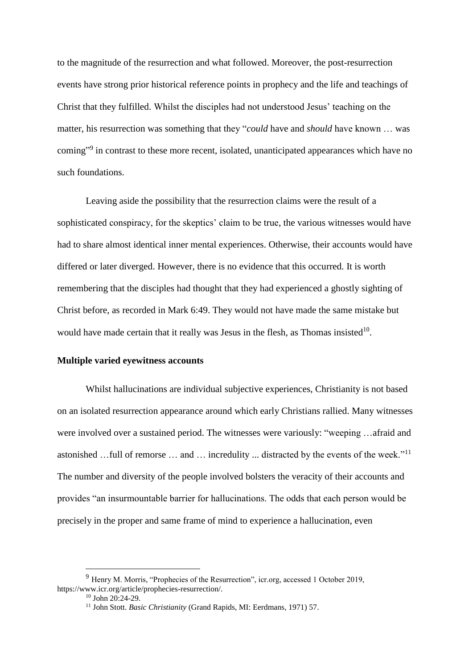to the magnitude of the resurrection and what followed. Moreover, the post-resurrection events have strong prior historical reference points in prophecy and the life and teachings of Christ that they fulfilled. Whilst the disciples had not understood Jesus' teaching on the matter, his resurrection was something that they "*could* have and *should* have known … was coming"<sup>9</sup> in contrast to these more recent, isolated, unanticipated appearances which have no such foundations.

Leaving aside the possibility that the resurrection claims were the result of a sophisticated conspiracy, for the skeptics' claim to be true, the various witnesses would have had to share almost identical inner mental experiences. Otherwise, their accounts would have differed or later diverged. However, there is no evidence that this occurred. It is worth remembering that the disciples had thought that they had experienced a ghostly sighting of Christ before, as recorded in Mark 6:49. They would not have made the same mistake but would have made certain that it really was Jesus in the flesh, as Thomas insisted $10$ .

## **Multiple varied eyewitness accounts**

Whilst hallucinations are individual subjective experiences, Christianity is not based on an isolated resurrection appearance around which early Christians rallied. Many witnesses were involved over a sustained period. The witnesses were variously: "weeping …afraid and astonished …full of remorse … and … incredulity ... distracted by the events of the week."<sup>11</sup> The number and diversity of the people involved bolsters the veracity of their accounts and provides "an insurmountable barrier for hallucinations. The odds that each person would be precisely in the proper and same frame of mind to experience a hallucination, even

<sup>9</sup> Henry M. Morris, "Prophecies of the Resurrection", icr.org, accessed 1 October 2019, [https://www.icr.org/article/prophecies-resurrection/.](https://www.icr.org/article/prophecies-resurrection/)

 $10$  John  $20:24-29$ .

<sup>11</sup> John Stott. *Basic Christianity* (Grand Rapids, MI: Eerdmans, 1971) 57.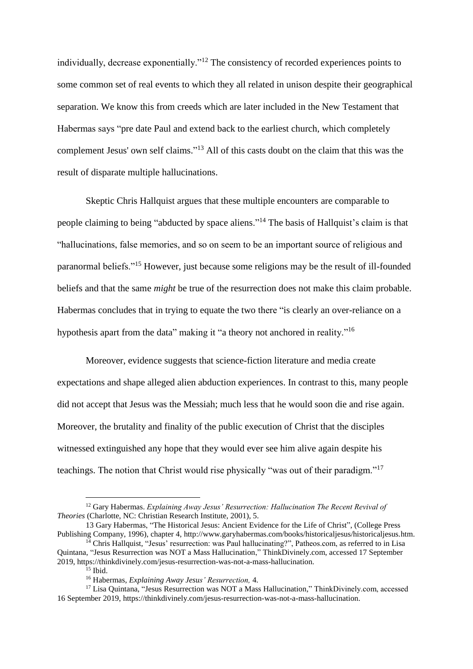individually, decrease exponentially."<sup>12</sup> The consistency of recorded experiences points to some common set of real events to which they all related in unison despite their geographical separation. We know this from creeds which are later included in the New Testament that Habermas says "pre date Paul and extend back to the earliest church, which completely complement Jesus' own self claims." <sup>13</sup> All of this casts doubt on the claim that this was the result of disparate multiple hallucinations.

Skeptic Chris Hallquist argues that these multiple encounters are comparable to people claiming to being "abducted by space aliens."<sup>14</sup> The basis of Hallquist's claim is that "hallucinations, false memories, and so on seem to be an important source of religious and paranormal beliefs."<sup>15</sup> However, just because some religions may be the result of ill-founded beliefs and that the same *might* be true of the resurrection does not make this claim probable. Habermas concludes that in trying to equate the two there "is clearly an over-reliance on a hypothesis apart from the data" making it "a theory not anchored in reality."<sup>16</sup>

Moreover, evidence suggests that science-fiction literature and media create expectations and shape alleged alien abduction experiences. In contrast to this, many people did not accept that Jesus was the Messiah; much less that he would soon die and rise again. Moreover, the brutality and finality of the public execution of Christ that the disciples witnessed extinguished any hope that they would ever see him alive again despite his teachings. The notion that Christ would rise physically "was out of their paradigm."<sup>17</sup>

<sup>&</sup>lt;sup>12</sup> Gary Habermas. *Explaining Away Jesus' Resurrection: Hallucination The Recent Revival of Theories* (Charlotte, NC: Christian Research Institute, 2001), 5.

<sup>13</sup> Gary Habermas, "The Historical Jesus: Ancient Evidence for the Life of Christ", (College Press Publishing Company, 1996), chapter 4, http://www.garyhabermas.com/books/historicaljesus/historicaljesus.htm. <sup>14</sup> Chris Hallquist, "Jesus' resurrection: was Paul hallucinating?", Patheos.com, as referred to in Lisa

Quintana, "Jesus Resurrection was NOT a Mass Hallucination," ThinkDivinely.com, accessed 17 September 2019, [https://thinkdivinely.com/jesus-resurrection-was-not-a-mass-hallucination.](https://thinkdivinely.com/jesus-resurrection-was-not-a-mass-hallucination)

 $15$  Ibid.

<sup>16</sup> Habermas, *Explaining Away Jesus' Resurrection,* 4.

<sup>&</sup>lt;sup>17</sup> Lisa Quintana, "Jesus Resurrection was NOT a Mass Hallucination," ThinkDivinely.com, accessed 16 September 2019, [https://thinkdivinely.com/jesus-resurrection-was-not-a-mass-hallucination.](https://thinkdivinely.com/jesus-resurrection-was-not-a-mass-hallucination)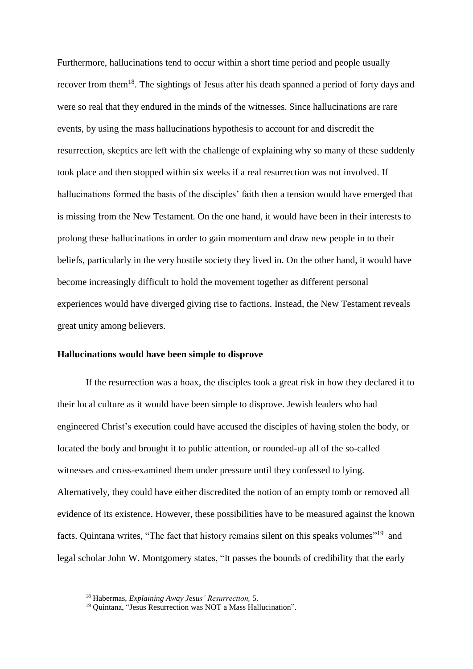Furthermore, hallucinations tend to occur within a short time period and people usually recover from them<sup>18</sup>. The sightings of Jesus after his death spanned a period of forty days and were so real that they endured in the minds of the witnesses. Since hallucinations are rare events, by using the mass hallucinations hypothesis to account for and discredit the resurrection, skeptics are left with the challenge of explaining why so many of these suddenly took place and then stopped within six weeks if a real resurrection was not involved. If hallucinations formed the basis of the disciples' faith then a tension would have emerged that is missing from the New Testament. On the one hand, it would have been in their interests to prolong these hallucinations in order to gain momentum and draw new people in to their beliefs, particularly in the very hostile society they lived in. On the other hand, it would have become increasingly difficult to hold the movement together as different personal experiences would have diverged giving rise to factions. Instead, the New Testament reveals great unity among believers.

#### **Hallucinations would have been simple to disprove**

If the resurrection was a hoax, the disciples took a great risk in how they declared it to their local culture as it would have been simple to disprove. Jewish leaders who had engineered Christ's execution could have accused the disciples of having stolen the body, or located the body and brought it to public attention, or rounded-up all of the so-called witnesses and cross-examined them under pressure until they confessed to lying. Alternatively, they could have either discredited the notion of an empty tomb or removed all evidence of its existence. However, these possibilities have to be measured against the known facts. Quintana writes, "The fact that history remains silent on this speaks volumes"<sup>19</sup> and legal scholar John W. Montgomery states, "It passes the bounds of credibility that the early

<sup>18</sup> Habermas, *Explaining Away Jesus' Resurrection,* 5.

<sup>19</sup> Quintana, "Jesus Resurrection was NOT a Mass Hallucination".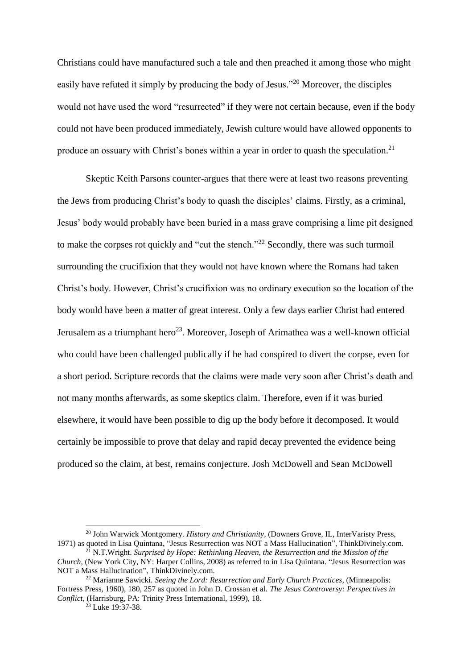Christians could have manufactured such a tale and then preached it among those who might easily have refuted it simply by producing the body of Jesus."<sup>20</sup> Moreover, the disciples would not have used the word "resurrected" if they were not certain because, even if the body could not have been produced immediately, Jewish culture would have allowed opponents to produce an ossuary with Christ's bones within a year in order to quash the speculation.<sup>21</sup>

Skeptic Keith Parsons counter-argues that there were at least two reasons preventing the Jews from producing Christ's body to quash the disciples' claims. Firstly, as a criminal, Jesus' body would probably have been buried in a mass grave comprising a lime pit designed to make the corpses rot quickly and "cut the stench."<sup>22</sup> Secondly, there was such turmoil surrounding the crucifixion that they would not have known where the Romans had taken Christ's body. However, Christ's crucifixion was no ordinary execution so the location of the body would have been a matter of great interest. Only a few days earlier Christ had entered Jerusalem as a triumphant hero<sup>23</sup>. Moreover, Joseph of Arimathea was a well-known official who could have been challenged publically if he had conspired to divert the corpse, even for a short period. Scripture records that the claims were made very soon after Christ's death and not many months afterwards, as some skeptics claim. Therefore, even if it was buried elsewhere, it would have been possible to dig up the body before it decomposed. It would certainly be impossible to prove that delay and rapid decay prevented the evidence being produced so the claim, at best, remains conjecture. Josh McDowell and Sean McDowell

<sup>20</sup> John Warwick Montgomery. *History and Christianity*, (Downers Grove, IL, InterVaristy Press, 1971) as quoted in Lisa Quintana, "Jesus Resurrection was NOT a Mass Hallucination", ThinkDivinely.com.

<sup>21</sup> N.T.Wright. *Surprised by Hope: Rethinking Heaven, the Resurrection and the Mission of the Church,* (New York City, NY: Harper Collins, 2008) as referred to in Lisa Quintana. "Jesus Resurrection was NOT a Mass Hallucination", ThinkDivinely.com.

<sup>22</sup> Marianne Sawicki. *Seeing the Lord: Resurrection and Early Church Practices*, (Minneapolis: Fortress Press, 1960), 180, 257 as quoted in John D. Crossan et al. *The Jesus Controversy: Perspectives in Conflict*, (Harrisburg, PA: Trinity Press International, 1999), 18.

 $23$  Luke 19:37-38.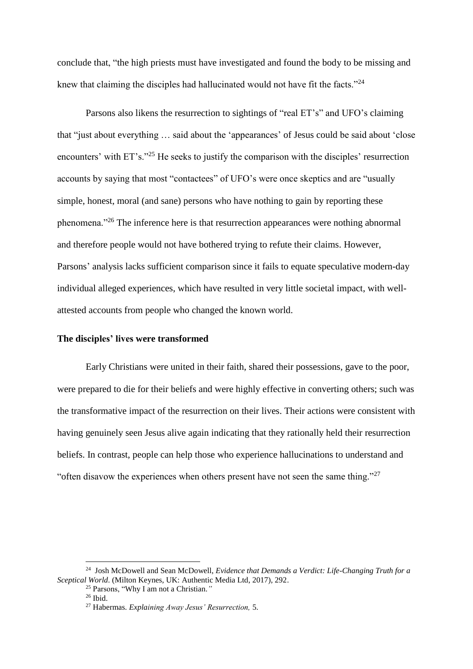conclude that, "the high priests must have investigated and found the body to be missing and knew that claiming the disciples had hallucinated would not have fit the facts."<sup>24</sup>

Parsons also likens the resurrection to sightings of "real ET's" and UFO's claiming that "just about everything … said about the 'appearances' of Jesus could be said about 'close encounters' with ET's."<sup>25</sup> He seeks to justify the comparison with the disciples' resurrection accounts by saying that most "contactees" of UFO's were once skeptics and are "usually simple, honest, moral (and sane) persons who have nothing to gain by reporting these phenomena."<sup>26</sup> The inference here is that resurrection appearances were nothing abnormal and therefore people would not have bothered trying to refute their claims. However, Parsons' analysis lacks sufficient comparison since it fails to equate speculative modern-day individual alleged experiences, which have resulted in very little societal impact, with wellattested accounts from people who changed the known world.

## **The disciples' lives were transformed**

Early Christians were united in their faith, shared their possessions, gave to the poor, were prepared to die for their beliefs and were highly effective in converting others; such was the transformative impact of the resurrection on their lives. Their actions were consistent with having genuinely seen Jesus alive again indicating that they rationally held their resurrection beliefs. In contrast, people can help those who experience hallucinations to understand and "often disavow the experiences when others present have not seen the same thing." $27$ 

<sup>&</sup>lt;sup>24</sup> Josh McDowell and Sean McDowell, *Evidence that Demands a Verdict: Life-Changing Truth for a Sceptical World*. (Milton Keynes, UK: Authentic Media Ltd, 2017), 292.

<sup>25</sup> Parsons, "Why I am not a Christian.*"*

<sup>26</sup> Ibid.

<sup>27</sup> Habermas. *Explaining Away Jesus' Resurrection,* 5.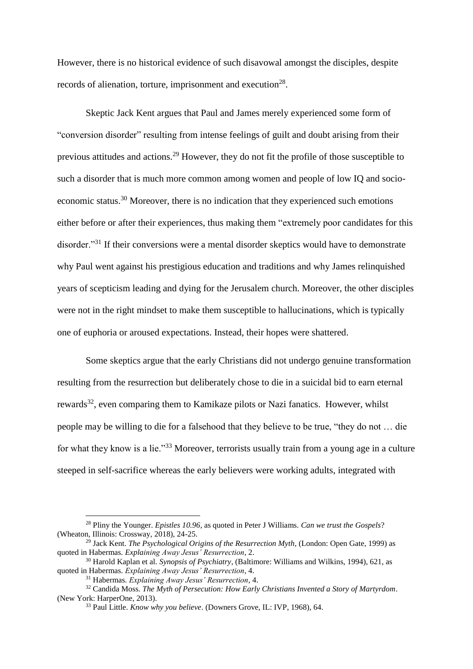However, there is no historical evidence of such disavowal amongst the disciples, despite records of alienation, torture, imprisonment and execution<sup>28</sup>.

Skeptic Jack Kent argues that Paul and James merely experienced some form of "conversion disorder" resulting from intense feelings of guilt and doubt arising from their previous attitudes and actions.<sup>29</sup> However, they do not fit the profile of those susceptible to such a disorder that is much more common among women and people of low IQ and socioeconomic status.<sup>30</sup> Moreover, there is no indication that they experienced such emotions either before or after their experiences, thus making them "extremely poor candidates for this disorder."<sup>31</sup> If their conversions were a mental disorder skeptics would have to demonstrate why Paul went against his prestigious education and traditions and why James relinquished years of scepticism leading and dying for the Jerusalem church. Moreover, the other disciples were not in the right mindset to make them susceptible to hallucinations, which is typically one of euphoria or aroused expectations. Instead, their hopes were shattered.

Some skeptics argue that the early Christians did not undergo genuine transformation resulting from the resurrection but deliberately chose to die in a suicidal bid to earn eternal rewards<sup>32</sup>, even comparing them to Kamikaze pilots or Nazi fanatics. However, whilst people may be willing to die for a falsehood that they believe to be true, "they do not … die for what they know is a lie."<sup>33</sup> Moreover, terrorists usually train from a young age in a culture steeped in self-sacrifice whereas the early believers were working adults, integrated with

<u>.</u>

<sup>28</sup> Pliny the Younger. *Epistles 10.96*, as quoted in Peter J Williams. *Can we trust the Gospels*? (Wheaton, Illinois: Crossway, 2018), 24-25.

<sup>29</sup> Jack Kent. *The Psychological Origins of the Resurrection Myth*, (London: Open Gate, 1999) as quoted in Habermas. *Explaining Away Jesus' Resurrection*, 2.

<sup>30</sup> Harold Kaplan et al. *Synopsis of Psychiatry*, (Baltimore: Williams and Wilkins, 1994), 621, as quoted in Habermas. *Explaining Away Jesus' Resurrection*, 4.

<sup>31</sup> Habermas. *Explaining Away Jesus' Resurrection*, 4.

<sup>32</sup> Candida Moss. *The Myth of Persecution: How Early Christians Invented a Story of Martyrdom*. (New York: HarperOne, 2013).

<sup>33</sup> Paul Little. *Know why you believe*. (Downers Grove, IL: IVP, 1968), 64.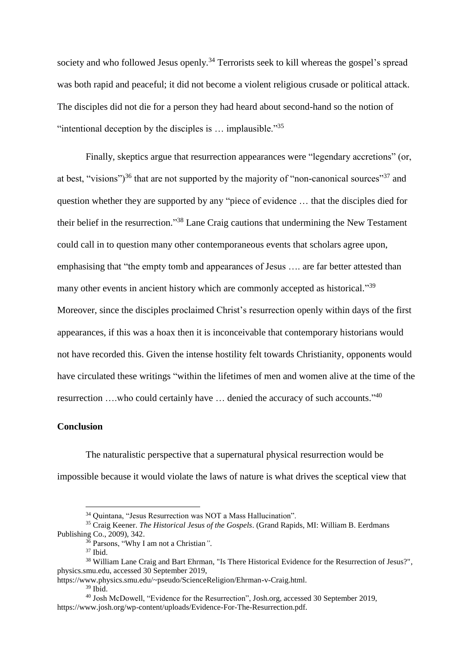society and who followed Jesus openly.<sup>34</sup> Terrorists seek to kill whereas the gospel's spread was both rapid and peaceful; it did not become a violent religious crusade or political attack. The disciples did not die for a person they had heard about second-hand so the notion of "intentional deception by the disciples is  $\ldots$  implausible."<sup>35</sup>

Finally, skeptics argue that resurrection appearances were "legendary accretions" (or, at best, "visions")<sup>36</sup> that are not supported by the majority of "non-canonical sources"<sup>37</sup> and question whether they are supported by any "piece of evidence … that the disciples died for their belief in the resurrection."<sup>38</sup> Lane Craig cautions that undermining the New Testament could call in to question many other contemporaneous events that scholars agree upon, emphasising that "the empty tomb and appearances of Jesus …. are far better attested than many other events in ancient history which are commonly accepted as historical."<sup>39</sup> Moreover, since the disciples proclaimed Christ's resurrection openly within days of the first appearances, if this was a hoax then it is inconceivable that contemporary historians would not have recorded this. Given the intense hostility felt towards Christianity, opponents would have circulated these writings "within the lifetimes of men and women alive at the time of the resurrection ....who could certainly have ... denied the accuracy of such accounts."<sup>40</sup>

#### **Conclusion**

The naturalistic perspective that a supernatural physical resurrection would be impossible because it would violate the laws of nature is what drives the sceptical view that

<sup>34</sup> Quintana, "Jesus Resurrection was NOT a Mass Hallucination".

<sup>35</sup> Craig Keener. *The Historical Jesus of the Gospels*. (Grand Rapids, MI: William B. Eerdmans Publishing Co., 2009), 342.

<sup>36</sup> Parsons, "Why I am not a Christian*"*.

<sup>37</sup> Ibid.

<sup>38</sup> William Lane Craig and Bart Ehrman, "Is There Historical Evidence for the Resurrection of Jesus?", physics.smu.edu, accessed 30 September 2019,

https://www.physics.smu.edu/~pseudo/ScienceReligion/Ehrman-v-Craig.html.

 $39$  Ibid.

<sup>40</sup> Josh McDowell, "Evidence for the Resurrection", Josh.org, accessed 30 September 2019, [https://www.josh.org/wp-content/uploads/Evidence-For-The-Resurrection.pdf.](https://www.josh.org/wp-content/uploads/Evidence-For-The-Resurrection.pdf)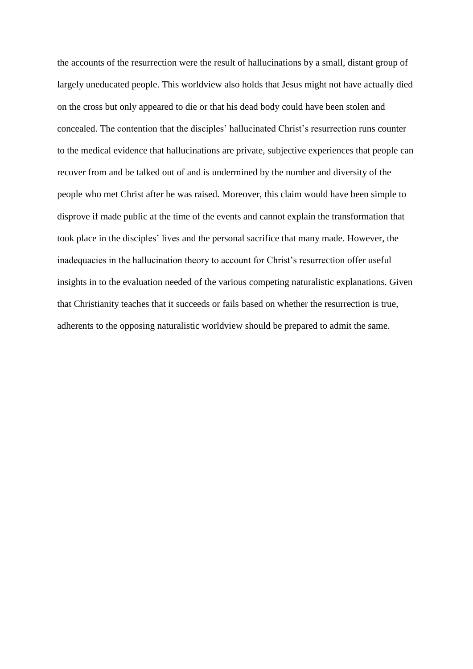the accounts of the resurrection were the result of hallucinations by a small, distant group of largely uneducated people. This worldview also holds that Jesus might not have actually died on the cross but only appeared to die or that his dead body could have been stolen and concealed. The contention that the disciples' hallucinated Christ's resurrection runs counter to the medical evidence that hallucinations are private, subjective experiences that people can recover from and be talked out of and is undermined by the number and diversity of the people who met Christ after he was raised. Moreover, this claim would have been simple to disprove if made public at the time of the events and cannot explain the transformation that took place in the disciples' lives and the personal sacrifice that many made. However, the inadequacies in the hallucination theory to account for Christ's resurrection offer useful insights in to the evaluation needed of the various competing naturalistic explanations. Given that Christianity teaches that it succeeds or fails based on whether the resurrection is true, adherents to the opposing naturalistic worldview should be prepared to admit the same.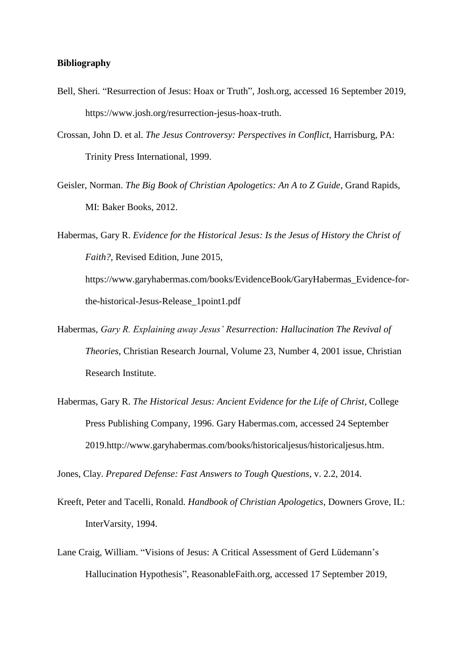## **Bibliography**

- Bell, Sheri*.* "Resurrection of Jesus: Hoax or Truth", Josh.org, accessed 16 September 2019, https://www.josh.org/resurrection-jesus-hoax-truth.
- Crossan, John D. et al. *The Jesus Controversy: Perspectives in Conflict*, Harrisburg, PA: Trinity Press International, 1999.
- Geisler, Norman. *The Big Book of Christian Apologetics: An A to Z Guide*, Grand Rapids, MI: Baker Books, 2012.
- Habermas, Gary R. *Evidence for the Historical Jesus: Is the Jesus of History the Christ of Faith?*, Revised Edition, June 2015, [https://www.garyhabermas.com/books/EvidenceBook/GaryHabermas\\_Evidence-for](https://www.garyhabermas.com/books/EvidenceBook/GaryHabermas_Evidence-for-the-historical-Jesus-Release_1point1.pdf)[the-historical-Jesus-Release\\_1point1.pdf](https://www.garyhabermas.com/books/EvidenceBook/GaryHabermas_Evidence-for-the-historical-Jesus-Release_1point1.pdf)
- Habermas, *Gary R. Explaining away Jesus' Resurrection: Hallucination The Revival of Theories*, Christian Research Journal, Volume 23, Number 4, 2001 issue, Christian Research Institute.
- Habermas, Gary R. *The Historical Jesus: Ancient Evidence for the Life of Christ*, College Press Publishing Company, 1996. Gary Habermas.com, accessed 24 September 2019[.http://www.garyhabermas.com/books/historicaljesus/historicaljesus.htm.](http://www.garyhabermas.com/books/historicaljesus/historicaljesus.htm)

Jones, Clay. *Prepared Defense: Fast Answers to Tough Questions*, v. 2.2, 2014.

- [Kreeft,](mk:@MSITStore:C:/1%20-%20DATA/BIOLA%20MA-CA/CSSR%20510%20MD%20-%20Apologetics%20Research%20and%20Writing/Defense/Defense.chm::/bios.htm#Kreeft) Peter and [Tacelli,](mk:@MSITStore:C:/1%20-%20DATA/BIOLA%20MA-CA/CSSR%20510%20MD%20-%20Apologetics%20Research%20and%20Writing/Defense/Defense.chm::/bios.htm#Tacelli) Ronald. *Handbook of Christian Apologetics*, Downers Grove, IL: InterVarsity, 1994.
- Lane Craig, William. "Visions of Jesus: A Critical Assessment of Gerd Lüdemann's Hallucination Hypothesis", ReasonableFaith.org, accessed 17 September 2019,